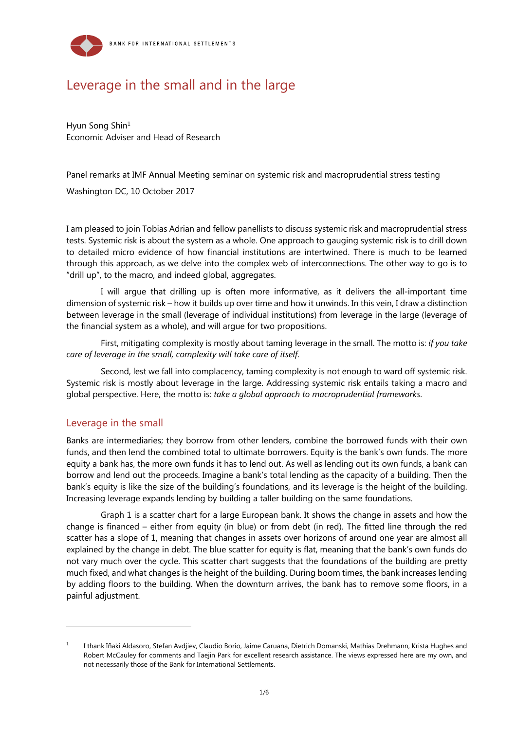

# Leverage in the small and in the large

Hyun Song Shin<sup>1</sup> Economic Adviser and Head of Research

Panel remarks at IMF Annual Meeting seminar on systemic risk and macroprudential stress testing

Washington DC, 10 October 2017

I am pleased to join Tobias Adrian and fellow panellists to discuss systemic risk and macroprudential stress tests. Systemic risk is about the system as a whole. One approach to gauging systemic risk is to drill down to detailed micro evidence of how financial institutions are intertwined. There is much to be learned through this approach, as we delve into the complex web of interconnections. The other way to go is to "drill up", to the macro, and indeed global, aggregates.

I will argue that drilling up is often more informative, as it delivers the all-important time dimension of systemic risk – how it builds up over time and how it unwinds. In this vein, I draw a distinction between leverage in the small (leverage of individual institutions) from leverage in the large (leverage of the financial system as a whole), and will argue for two propositions.

First, mitigating complexity is mostly about taming leverage in the small. The motto is: *if you take care of leverage in the small, complexity will take care of itself*.

Second, lest we fall into complacency, taming complexity is not enough to ward off systemic risk. Systemic risk is mostly about leverage in the large. Addressing systemic risk entails taking a macro and global perspective. Here, the motto is: *take a global approach to macroprudential frameworks*.

## Leverage in the small

l

Banks are intermediaries; they borrow from other lenders, combine the borrowed funds with their own funds, and then lend the combined total to ultimate borrowers. Equity is the bank's own funds. The more equity a bank has, the more own funds it has to lend out. As well as lending out its own funds, a bank can borrow and lend out the proceeds. Imagine a bank's total lending as the capacity of a building. Then the bank's equity is like the size of the building's foundations, and its leverage is the height of the building. Increasing leverage expands lending by building a taller building on the same foundations.

Graph 1 is a scatter chart for a large European bank. It shows the change in assets and how the change is financed – either from equity (in blue) or from debt (in red). The fitted line through the red scatter has a slope of 1, meaning that changes in assets over horizons of around one year are almost all explained by the change in debt. The blue scatter for equity is flat, meaning that the bank's own funds do not vary much over the cycle. This scatter chart suggests that the foundations of the building are pretty much fixed, and what changes is the height of the building. During boom times, the bank increases lending by adding floors to the building. When the downturn arrives, the bank has to remove some floors, in a painful adjustment.

<sup>1</sup> I thank Iñaki Aldasoro, Stefan Avdjiev, Claudio Borio, Jaime Caruana, Dietrich Domanski, Mathias Drehmann, Krista Hughes and Robert McCauley for comments and Taejin Park for excellent research assistance. The views expressed here are my own, and not necessarily those of the Bank for International Settlements.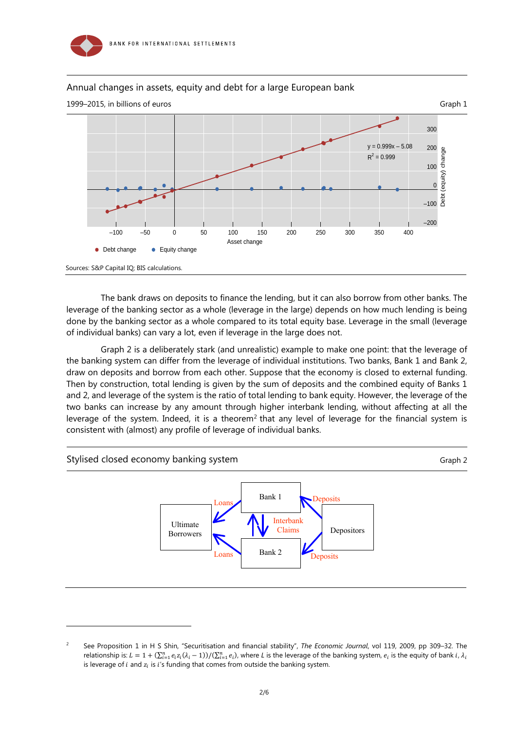

l

### Annual changes in assets, equity and debt for a large European bank



The bank draws on deposits to finance the lending, but it can also borrow from other banks. The leverage of the banking sector as a whole (leverage in the large) depends on how much lending is being done by the banking sector as a whole compared to its total equity base. Leverage in the small (leverage of individual banks) can vary a lot, even if leverage in the large does not.

Graph 2 is a deliberately stark (and unrealistic) example to make one point: that the leverage of the banking system can differ from the leverage of individual institutions. Two banks, Bank 1 and Bank 2, draw on deposits and borrow from each other. Suppose that the economy is closed to external funding. Then by construction, total lending is given by the sum of deposits and the combined equity of Banks 1 and 2, and leverage of the system is the ratio of total lending to bank equity. However, the leverage of the two banks can increase by any amount through higher interbank lending, without affecting at all the leverage of the system. Indeed, it is a theorem<sup>2</sup> that any level of leverage for the financial system is consistent with (almost) any profile of leverage of individual banks.



 $\overline{2}$  See Proposition 1 in H S Shin, "Securitisation and financial stability", *The Economic Journal*, vol 119, 2009, pp 309–32. The relationship is:  $L = 1 + (\sum_{i=1}^n e_i z_i (\lambda_i - 1))/(\sum_{i=1}^n e_i)$ , where L is the leverage of the banking system,  $e_i$  is the equity of bank *i*,  $\lambda_i$ is leverage of  $i$  and  $z_i$  is  $i$ 's funding that comes from outside the banking system.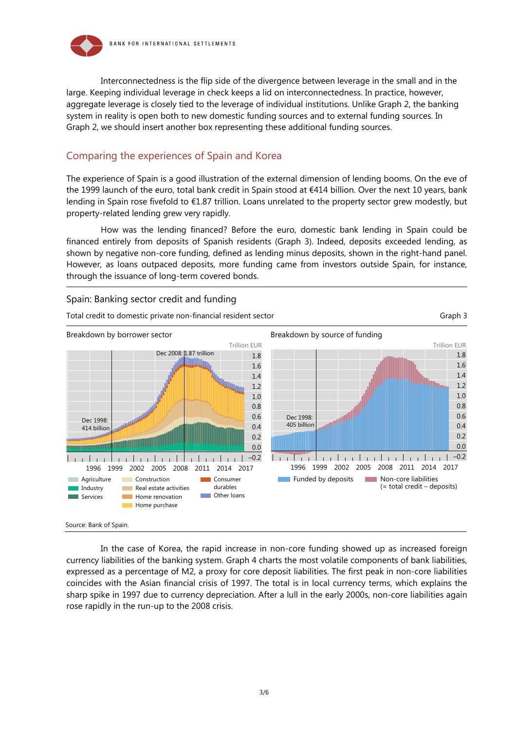

Interconnectedness is the flip side of the divergence between leverage in the small and in the large. Keeping individual leverage in check keeps a lid on interconnectedness. In practice, however, aggregate leverage is closely tied to the leverage of individual institutions. Unlike Graph 2, the banking system in reality is open both to new domestic funding sources and to external funding sources. In Graph 2, we should insert another box representing these additional funding sources.

## Comparing the experiences of Spain and Korea

The experience of Spain is a good illustration of the external dimension of lending booms. On the eve of the 1999 launch of the euro, total bank credit in Spain stood at €414 billion. Over the next 10 years, bank lending in Spain rose fivefold to €1.87 trillion. Loans unrelated to the property sector grew modestly, but property-related lending grew very rapidly.

How was the lending financed? Before the euro, domestic bank lending in Spain could be financed entirely from deposits of Spanish residents (Graph 3). Indeed, deposits exceeded lending, as shown by negative non-core funding, defined as lending minus deposits, shown in the right-hand panel. However, as loans outpaced deposits, more funding came from investors outside Spain, for instance, through the issuance of long-term covered bonds.



In the case of Korea, the rapid increase in non-core funding showed up as increased foreign currency liabilities of the banking system. Graph 4 charts the most volatile components of bank liabilities, expressed as a percentage of M2, a proxy for core deposit liabilities. The first peak in non-core liabilities coincides with the Asian financial crisis of 1997. The total is in local currency terms, which explains the sharp spike in 1997 due to currency depreciation. After a lull in the early 2000s, non-core liabilities again rose rapidly in the run-up to the 2008 crisis.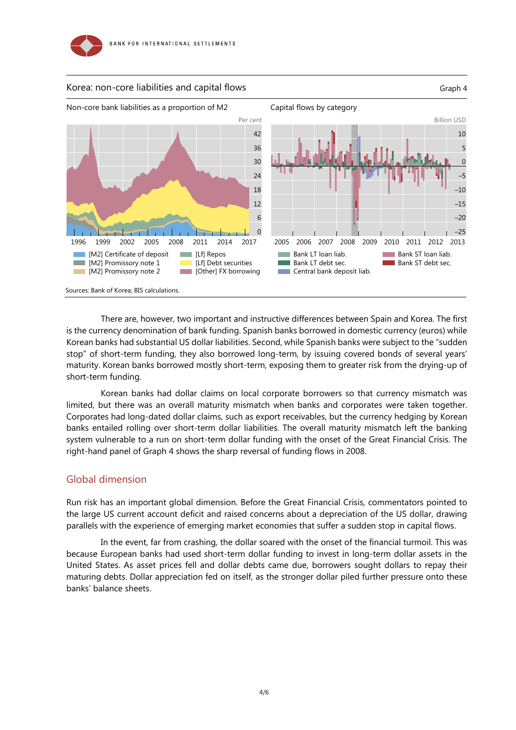



There are, however, two important and instructive differences between Spain and Korea. The first is the currency denomination of bank funding. Spanish banks borrowed in domestic currency (euros) while Korean banks had substantial US dollar liabilities. Second, while Spanish banks were subject to the "sudden stop" of short-term funding, they also borrowed long-term, by issuing covered bonds of several years' maturity. Korean banks borrowed mostly short-term, exposing them to greater risk from the drying-up of short-term funding.

Korean banks had dollar claims on local corporate borrowers so that currency mismatch was limited, but there was an overall maturity mismatch when banks and corporates were taken together. Corporates had long-dated dollar claims, such as export receivables, but the currency hedging by Korean banks entailed rolling over short-term dollar liabilities. The overall maturity mismatch left the banking system vulnerable to a run on short-term dollar funding with the onset of the Great Financial Crisis. The right-hand panel of Graph 4 shows the sharp reversal of funding flows in 2008.

#### Global dimension

Run risk has an important global dimension. Before the Great Financial Crisis, commentators pointed to the large US current account deficit and raised concerns about a depreciation of the US dollar, drawing parallels with the experience of emerging market economies that suffer a sudden stop in capital flows.

In the event, far from crashing, the dollar soared with the onset of the financial turmoil. This was because European banks had used short-term dollar funding to invest in long-term dollar assets in the United States. As asset prices fell and dollar debts came due, borrowers sought dollars to repay their maturing debts. Dollar appreciation fed on itself, as the stronger dollar piled further pressure onto these banks' balance sheets.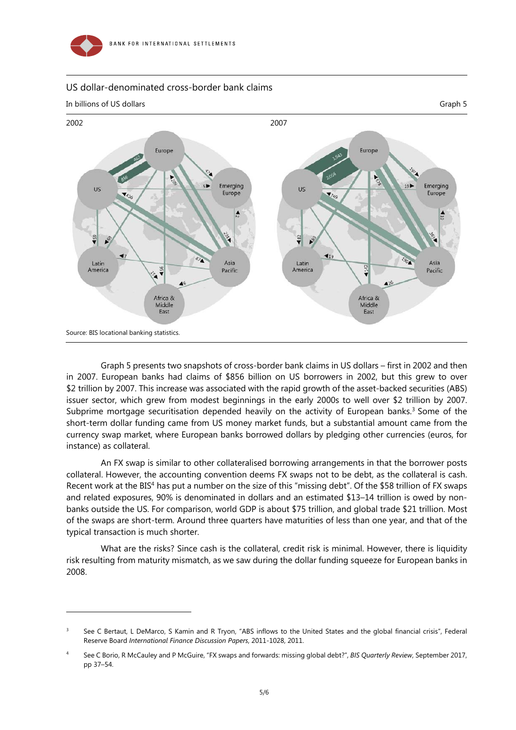

l

### US dollar-denominated cross-border bank claims



Graph 5 presents two snapshots of cross-border bank claims in US dollars – first in 2002 and then in 2007. European banks had claims of \$856 billion on US borrowers in 2002, but this grew to over \$2 trillion by 2007. This increase was associated with the rapid growth of the asset-backed securities (ABS) issuer sector, which grew from modest beginnings in the early 2000s to well over \$2 trillion by 2007. Subprime mortgage securitisation depended heavily on the activity of European banks.<sup>3</sup> Some of the short-term dollar funding came from US money market funds, but a substantial amount came from the currency swap market, where European banks borrowed dollars by pledging other currencies (euros, for instance) as collateral.

An FX swap is similar to other collateralised borrowing arrangements in that the borrower posts collateral. However, the accounting convention deems FX swaps not to be debt, as the collateral is cash. Recent work at the BIS<sup>4</sup> has put a number on the size of this "missing debt". Of the \$58 trillion of FX swaps and related exposures, 90% is denominated in dollars and an estimated \$13–14 trillion is owed by nonbanks outside the US. For comparison, world GDP is about \$75 trillion, and global trade \$21 trillion. Most of the swaps are short-term. Around three quarters have maturities of less than one year, and that of the typical transaction is much shorter.

What are the risks? Since cash is the collateral, credit risk is minimal. However, there is liquidity risk resulting from maturity mismatch, as we saw during the dollar funding squeeze for European banks in 2008.

<sup>3</sup> See C Bertaut, L DeMarco, S Kamin and R Tryon, "ABS inflows to the United States and the global financial crisis", Federal Reserve Board *International Finance Discussion Papers*, 2011-1028, 2011.

<sup>4</sup> See C Borio, R McCauley and P McGuire, "FX swaps and forwards: missing global debt?", *BIS Quarterly Review*, September 2017, pp 37–54.